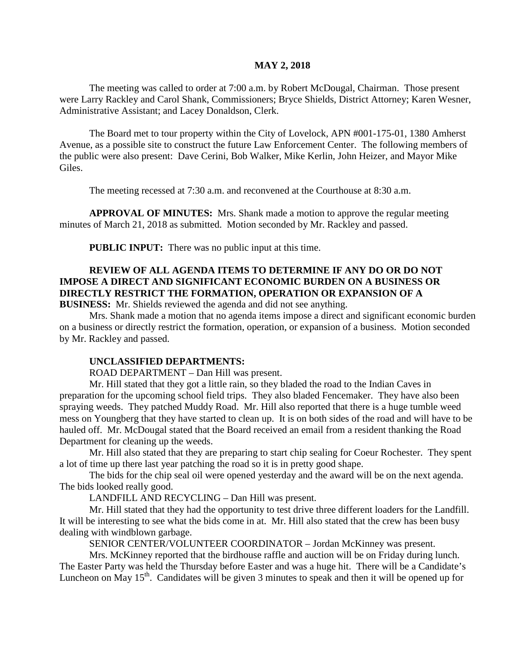#### **MAY 2, 2018**

The meeting was called to order at 7:00 a.m. by Robert McDougal, Chairman. Those present were Larry Rackley and Carol Shank, Commissioners; Bryce Shields, District Attorney; Karen Wesner, Administrative Assistant; and Lacey Donaldson, Clerk.

The Board met to tour property within the City of Lovelock, APN #001-175-01, 1380 Amherst Avenue, as a possible site to construct the future Law Enforcement Center. The following members of the public were also present: Dave Cerini, Bob Walker, Mike Kerlin, John Heizer, and Mayor Mike Giles.

The meeting recessed at 7:30 a.m. and reconvened at the Courthouse at 8:30 a.m.

**APPROVAL OF MINUTES:** Mrs. Shank made a motion to approve the regular meeting minutes of March 21, 2018 as submitted. Motion seconded by Mr. Rackley and passed.

**PUBLIC INPUT:** There was no public input at this time.

# **REVIEW OF ALL AGENDA ITEMS TO DETERMINE IF ANY DO OR DO NOT IMPOSE A DIRECT AND SIGNIFICANT ECONOMIC BURDEN ON A BUSINESS OR DIRECTLY RESTRICT THE FORMATION, OPERATION OR EXPANSION OF A**

**BUSINESS:** Mr. Shields reviewed the agenda and did not see anything.

Mrs. Shank made a motion that no agenda items impose a direct and significant economic burden on a business or directly restrict the formation, operation, or expansion of a business. Motion seconded by Mr. Rackley and passed.

#### **UNCLASSIFIED DEPARTMENTS:**

ROAD DEPARTMENT – Dan Hill was present.

Mr. Hill stated that they got a little rain, so they bladed the road to the Indian Caves in preparation for the upcoming school field trips. They also bladed Fencemaker. They have also been spraying weeds. They patched Muddy Road. Mr. Hill also reported that there is a huge tumble weed mess on Youngberg that they have started to clean up. It is on both sides of the road and will have to be hauled off. Mr. McDougal stated that the Board received an email from a resident thanking the Road Department for cleaning up the weeds.

Mr. Hill also stated that they are preparing to start chip sealing for Coeur Rochester. They spent a lot of time up there last year patching the road so it is in pretty good shape.

The bids for the chip seal oil were opened yesterday and the award will be on the next agenda. The bids looked really good.

LANDFILL AND RECYCLING – Dan Hill was present.

Mr. Hill stated that they had the opportunity to test drive three different loaders for the Landfill. It will be interesting to see what the bids come in at. Mr. Hill also stated that the crew has been busy dealing with windblown garbage.

SENIOR CENTER/VOLUNTEER COORDINATOR – Jordan McKinney was present.

Mrs. McKinney reported that the birdhouse raffle and auction will be on Friday during lunch. The Easter Party was held the Thursday before Easter and was a huge hit. There will be a Candidate's Luncheon on May 15<sup>th</sup>. Candidates will be given 3 minutes to speak and then it will be opened up for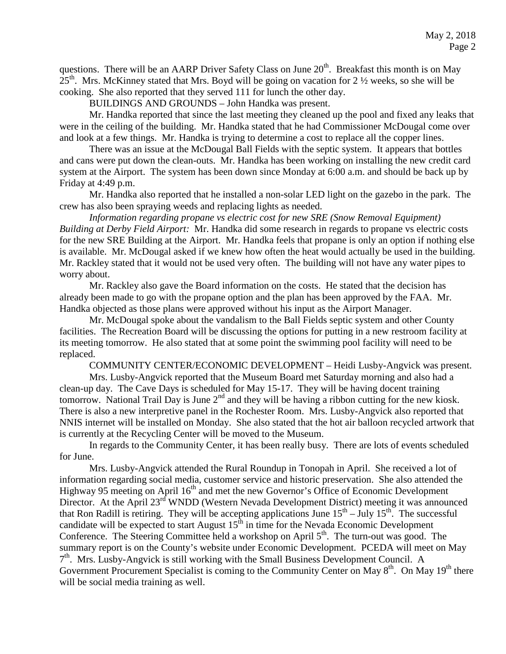questions. There will be an AARP Driver Safety Class on June  $20<sup>th</sup>$ . Breakfast this month is on May  $25<sup>th</sup>$ . Mrs. McKinney stated that Mrs. Boyd will be going on vacation for 2  $\frac{1}{2}$  weeks, so she will be cooking. She also reported that they served 111 for lunch the other day.

BUILDINGS AND GROUNDS – John Handka was present.

Mr. Handka reported that since the last meeting they cleaned up the pool and fixed any leaks that were in the ceiling of the building. Mr. Handka stated that he had Commissioner McDougal come over and look at a few things. Mr. Handka is trying to determine a cost to replace all the copper lines.

There was an issue at the McDougal Ball Fields with the septic system. It appears that bottles and cans were put down the clean-outs. Mr. Handka has been working on installing the new credit card system at the Airport. The system has been down since Monday at 6:00 a.m. and should be back up by Friday at 4:49 p.m.

Mr. Handka also reported that he installed a non-solar LED light on the gazebo in the park. The crew has also been spraying weeds and replacing lights as needed.

*Information regarding propane vs electric cost for new SRE (Snow Removal Equipment) Building at Derby Field Airport:* Mr. Handka did some research in regards to propane vs electric costs for the new SRE Building at the Airport. Mr. Handka feels that propane is only an option if nothing else is available. Mr. McDougal asked if we knew how often the heat would actually be used in the building. Mr. Rackley stated that it would not be used very often. The building will not have any water pipes to worry about.

Mr. Rackley also gave the Board information on the costs. He stated that the decision has already been made to go with the propane option and the plan has been approved by the FAA. Mr. Handka objected as those plans were approved without his input as the Airport Manager.

Mr. McDougal spoke about the vandalism to the Ball Fields septic system and other County facilities. The Recreation Board will be discussing the options for putting in a new restroom facility at its meeting tomorrow. He also stated that at some point the swimming pool facility will need to be replaced.

COMMUNITY CENTER/ECONOMIC DEVELOPMENT – Heidi Lusby-Angvick was present.

Mrs. Lusby-Angvick reported that the Museum Board met Saturday morning and also had a clean-up day. The Cave Days is scheduled for May 15-17. They will be having docent training tomorrow. National Trail Day is June  $2<sup>nd</sup>$  and they will be having a ribbon cutting for the new kiosk. There is also a new interpretive panel in the Rochester Room. Mrs. Lusby-Angvick also reported that NNIS internet will be installed on Monday. She also stated that the hot air balloon recycled artwork that is currently at the Recycling Center will be moved to the Museum.

In regards to the Community Center, it has been really busy. There are lots of events scheduled for June.

Mrs. Lusby-Angvick attended the Rural Roundup in Tonopah in April. She received a lot of information regarding social media, customer service and historic preservation. She also attended the Highway 95 meeting on April 16<sup>th</sup> and met the new Governor's Office of Economic Development Director. At the April 23<sup>rd</sup> WNDD (Western Nevada Development District) meeting it was announced that Ron Radill is retiring. They will be accepting applications June  $15^{th}$  – July  $15^{th}$ . The successful candidate will be expected to start August  $15<sup>th</sup>$  in time for the Nevada Economic Development Conference. The Steering Committee held a workshop on April  $5<sup>th</sup>$ . The turn-out was good. The summary report is on the County's website under Economic Development. PCEDA will meet on May  $7<sup>th</sup>$ . Mrs. Lusby-Angvick is still working with the Small Business Development Council. A Government Procurement Specialist is coming to the Community Center on May 8<sup>th</sup>. On May 19<sup>th</sup> there will be social media training as well.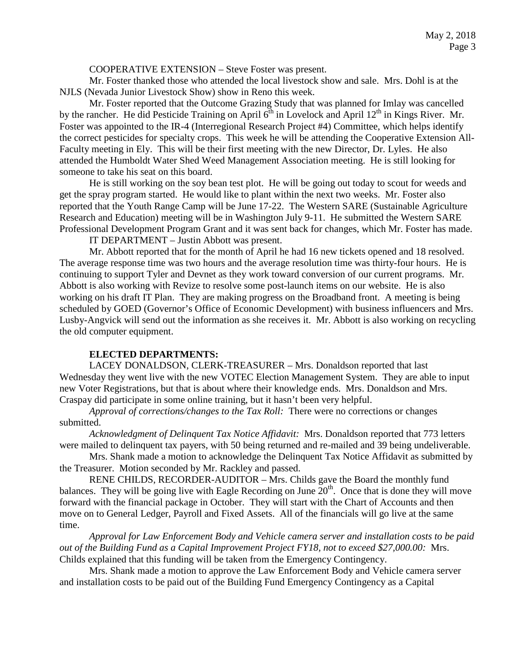COOPERATIVE EXTENSION – Steve Foster was present.

Mr. Foster thanked those who attended the local livestock show and sale. Mrs. Dohl is at the NJLS (Nevada Junior Livestock Show) show in Reno this week.

Mr. Foster reported that the Outcome Grazing Study that was planned for Imlay was cancelled by the rancher. He did Pesticide Training on April  $6<sup>th</sup>$  in Lovelock and April 12<sup>th</sup> in Kings River. Mr. Foster was appointed to the IR-4 (Interregional Research Project #4) Committee, which helps identify the correct pesticides for specialty crops. This week he will be attending the Cooperative Extension All-Faculty meeting in Ely. This will be their first meeting with the new Director, Dr. Lyles. He also attended the Humboldt Water Shed Weed Management Association meeting. He is still looking for someone to take his seat on this board.

He is still working on the soy bean test plot. He will be going out today to scout for weeds and get the spray program started. He would like to plant within the next two weeks. Mr. Foster also reported that the Youth Range Camp will be June 17-22. The Western SARE (Sustainable Agriculture Research and Education) meeting will be in Washington July 9-11. He submitted the Western SARE Professional Development Program Grant and it was sent back for changes, which Mr. Foster has made.

IT DEPARTMENT – Justin Abbott was present.

Mr. Abbott reported that for the month of April he had 16 new tickets opened and 18 resolved. The average response time was two hours and the average resolution time was thirty-four hours. He is continuing to support Tyler and Devnet as they work toward conversion of our current programs. Mr. Abbott is also working with Revize to resolve some post-launch items on our website. He is also working on his draft IT Plan. They are making progress on the Broadband front. A meeting is being scheduled by GOED (Governor's Office of Economic Development) with business influencers and Mrs. Lusby-Angvick will send out the information as she receives it. Mr. Abbott is also working on recycling the old computer equipment.

#### **ELECTED DEPARTMENTS:**

LACEY DONALDSON, CLERK-TREASURER – Mrs. Donaldson reported that last Wednesday they went live with the new VOTEC Election Management System. They are able to input new Voter Registrations, but that is about where their knowledge ends. Mrs. Donaldson and Mrs. Craspay did participate in some online training, but it hasn't been very helpful.

*Approval of corrections/changes to the Tax Roll:* There were no corrections or changes submitted.

*Acknowledgment of Delinquent Tax Notice Affidavit:* Mrs. Donaldson reported that 773 letters were mailed to delinquent tax payers, with 50 being returned and re-mailed and 39 being undeliverable.

Mrs. Shank made a motion to acknowledge the Delinquent Tax Notice Affidavit as submitted by the Treasurer. Motion seconded by Mr. Rackley and passed.

RENE CHILDS, RECORDER-AUDITOR – Mrs. Childs gave the Board the monthly fund balances. They will be going live with Eagle Recording on June  $20<sup>th</sup>$ . Once that is done they will move forward with the financial package in October. They will start with the Chart of Accounts and then move on to General Ledger, Payroll and Fixed Assets. All of the financials will go live at the same time.

*Approval for Law Enforcement Body and Vehicle camera server and installation costs to be paid out of the Building Fund as a Capital Improvement Project FY18, not to exceed \$27,000.00:* Mrs. Childs explained that this funding will be taken from the Emergency Contingency.

Mrs. Shank made a motion to approve the Law Enforcement Body and Vehicle camera server and installation costs to be paid out of the Building Fund Emergency Contingency as a Capital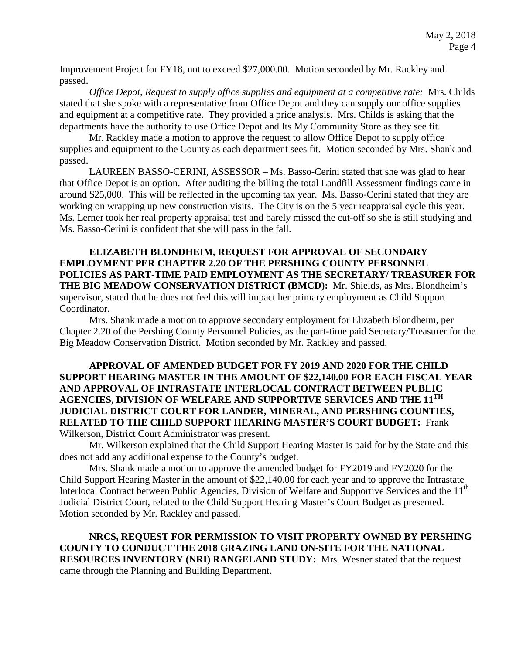Improvement Project for FY18, not to exceed \$27,000.00. Motion seconded by Mr. Rackley and passed.

*Office Depot, Request to supply office supplies and equipment at a competitive rate:* Mrs. Childs stated that she spoke with a representative from Office Depot and they can supply our office supplies and equipment at a competitive rate. They provided a price analysis. Mrs. Childs is asking that the departments have the authority to use Office Depot and Its My Community Store as they see fit.

Mr. Rackley made a motion to approve the request to allow Office Depot to supply office supplies and equipment to the County as each department sees fit. Motion seconded by Mrs. Shank and passed.

LAUREEN BASSO-CERINI, ASSESSOR – Ms. Basso-Cerini stated that she was glad to hear that Office Depot is an option. After auditing the billing the total Landfill Assessment findings came in around \$25,000. This will be reflected in the upcoming tax year. Ms. Basso-Cerini stated that they are working on wrapping up new construction visits. The City is on the 5 year reappraisal cycle this year. Ms. Lerner took her real property appraisal test and barely missed the cut-off so she is still studying and Ms. Basso-Cerini is confident that she will pass in the fall.

**ELIZABETH BLONDHEIM, REQUEST FOR APPROVAL OF SECONDARY EMPLOYMENT PER CHAPTER 2.20 OF THE PERSHING COUNTY PERSONNEL POLICIES AS PART-TIME PAID EMPLOYMENT AS THE SECRETARY/ TREASURER FOR THE BIG MEADOW CONSERVATION DISTRICT (BMCD):** Mr. Shields, as Mrs. Blondheim's supervisor, stated that he does not feel this will impact her primary employment as Child Support Coordinator.

Mrs. Shank made a motion to approve secondary employment for Elizabeth Blondheim, per Chapter 2.20 of the Pershing County Personnel Policies, as the part-time paid Secretary/Treasurer for the Big Meadow Conservation District. Motion seconded by Mr. Rackley and passed.

### **APPROVAL OF AMENDED BUDGET FOR FY 2019 AND 2020 FOR THE CHILD SUPPORT HEARING MASTER IN THE AMOUNT OF \$22,140.00 FOR EACH FISCAL YEAR AND APPROVAL OF INTRASTATE INTERLOCAL CONTRACT BETWEEN PUBLIC AGENCIES, DIVISION OF WELFARE AND SUPPORTIVE SERVICES AND THE 11TH JUDICIAL DISTRICT COURT FOR LANDER, MINERAL, AND PERSHING COUNTIES, RELATED TO THE CHILD SUPPORT HEARING MASTER'S COURT BUDGET:** Frank Wilkerson, District Court Administrator was present.

Mr. Wilkerson explained that the Child Support Hearing Master is paid for by the State and this does not add any additional expense to the County's budget.

Mrs. Shank made a motion to approve the amended budget for FY2019 and FY2020 for the Child Support Hearing Master in the amount of \$22,140.00 for each year and to approve the Intrastate Interlocal Contract between Public Agencies, Division of Welfare and Supportive Services and the 11<sup>th</sup> Judicial District Court, related to the Child Support Hearing Master's Court Budget as presented. Motion seconded by Mr. Rackley and passed.

**NRCS, REQUEST FOR PERMISSION TO VISIT PROPERTY OWNED BY PERSHING COUNTY TO CONDUCT THE 2018 GRAZING LAND ON-SITE FOR THE NATIONAL RESOURCES INVENTORY (NRI) RANGELAND STUDY:** Mrs. Wesner stated that the request came through the Planning and Building Department.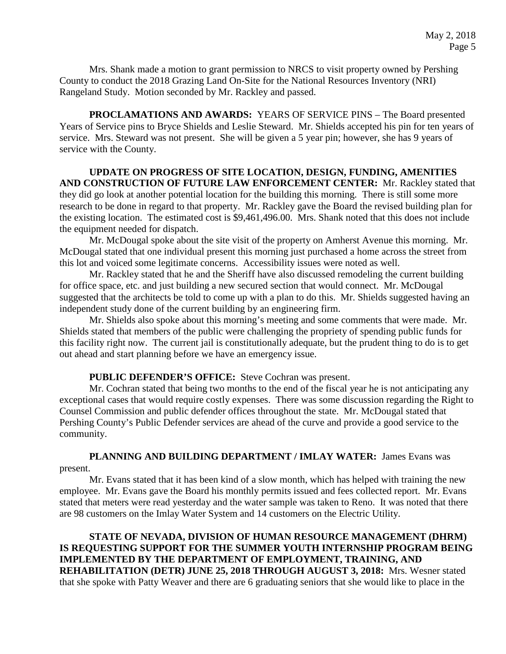Mrs. Shank made a motion to grant permission to NRCS to visit property owned by Pershing County to conduct the 2018 Grazing Land On-Site for the National Resources Inventory (NRI) Rangeland Study. Motion seconded by Mr. Rackley and passed.

**PROCLAMATIONS AND AWARDS:** YEARS OF SERVICE PINS – The Board presented Years of Service pins to Bryce Shields and Leslie Steward. Mr. Shields accepted his pin for ten years of service. Mrs. Steward was not present. She will be given a 5 year pin; however, she has 9 years of service with the County.

### **UPDATE ON PROGRESS OF SITE LOCATION, DESIGN, FUNDING, AMENITIES AND CONSTRUCTION OF FUTURE LAW ENFORCEMENT CENTER:** Mr. Rackley stated that they did go look at another potential location for the building this morning. There is still some more research to be done in regard to that property. Mr. Rackley gave the Board the revised building plan for the existing location. The estimated cost is \$9,461,496.00. Mrs. Shank noted that this does not include the equipment needed for dispatch.

Mr. McDougal spoke about the site visit of the property on Amherst Avenue this morning. Mr. McDougal stated that one individual present this morning just purchased a home across the street from this lot and voiced some legitimate concerns. Accessibility issues were noted as well.

Mr. Rackley stated that he and the Sheriff have also discussed remodeling the current building for office space, etc. and just building a new secured section that would connect. Mr. McDougal suggested that the architects be told to come up with a plan to do this. Mr. Shields suggested having an independent study done of the current building by an engineering firm.

Mr. Shields also spoke about this morning's meeting and some comments that were made. Mr. Shields stated that members of the public were challenging the propriety of spending public funds for this facility right now. The current jail is constitutionally adequate, but the prudent thing to do is to get out ahead and start planning before we have an emergency issue.

#### **PUBLIC DEFENDER'S OFFICE:** Steve Cochran was present.

Mr. Cochran stated that being two months to the end of the fiscal year he is not anticipating any exceptional cases that would require costly expenses. There was some discussion regarding the Right to Counsel Commission and public defender offices throughout the state. Mr. McDougal stated that Pershing County's Public Defender services are ahead of the curve and provide a good service to the community.

**PLANNING AND BUILDING DEPARTMENT / IMLAY WATER:** James Evans was present.

Mr. Evans stated that it has been kind of a slow month, which has helped with training the new employee. Mr. Evans gave the Board his monthly permits issued and fees collected report. Mr. Evans stated that meters were read yesterday and the water sample was taken to Reno. It was noted that there are 98 customers on the Imlay Water System and 14 customers on the Electric Utility.

## **STATE OF NEVADA, DIVISION OF HUMAN RESOURCE MANAGEMENT (DHRM) IS REQUESTING SUPPORT FOR THE SUMMER YOUTH INTERNSHIP PROGRAM BEING IMPLEMENTED BY THE DEPARTMENT OF EMPLOYMENT, TRAINING, AND REHABILITATION (DETR) JUNE 25, 2018 THROUGH AUGUST 3, 2018:** Mrs. Wesner stated that she spoke with Patty Weaver and there are 6 graduating seniors that she would like to place in the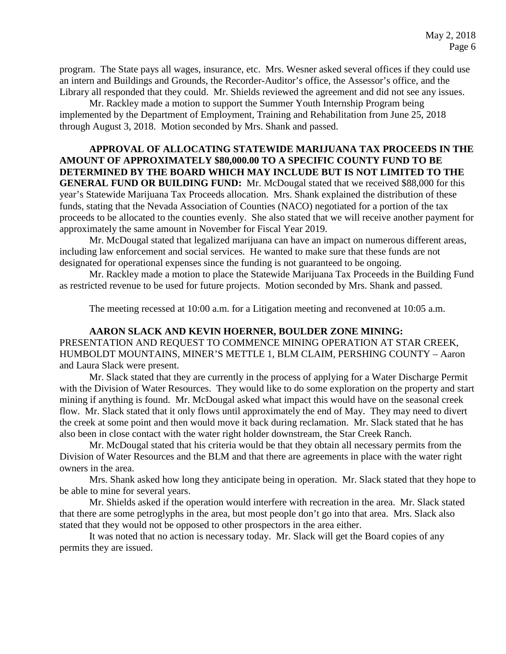program. The State pays all wages, insurance, etc. Mrs. Wesner asked several offices if they could use an intern and Buildings and Grounds, the Recorder-Auditor's office, the Assessor's office, and the Library all responded that they could. Mr. Shields reviewed the agreement and did not see any issues.

Mr. Rackley made a motion to support the Summer Youth Internship Program being implemented by the Department of Employment, Training and Rehabilitation from June 25, 2018 through August 3, 2018. Motion seconded by Mrs. Shank and passed.

# **APPROVAL OF ALLOCATING STATEWIDE MARIJUANA TAX PROCEEDS IN THE AMOUNT OF APPROXIMATELY \$80,000.00 TO A SPECIFIC COUNTY FUND TO BE DETERMINED BY THE BOARD WHICH MAY INCLUDE BUT IS NOT LIMITED TO THE GENERAL FUND OR BUILDING FUND:** Mr. McDougal stated that we received \$88,000 for this year's Statewide Marijuana Tax Proceeds allocation. Mrs. Shank explained the distribution of these funds, stating that the Nevada Association of Counties (NACO) negotiated for a portion of the tax proceeds to be allocated to the counties evenly. She also stated that we will receive another payment for approximately the same amount in November for Fiscal Year 2019.

Mr. McDougal stated that legalized marijuana can have an impact on numerous different areas, including law enforcement and social services. He wanted to make sure that these funds are not designated for operational expenses since the funding is not guaranteed to be ongoing.

Mr. Rackley made a motion to place the Statewide Marijuana Tax Proceeds in the Building Fund as restricted revenue to be used for future projects. Motion seconded by Mrs. Shank and passed.

The meeting recessed at 10:00 a.m. for a Litigation meeting and reconvened at 10:05 a.m.

**AARON SLACK AND KEVIN HOERNER, BOULDER ZONE MINING:**  PRESENTATION AND REQUEST TO COMMENCE MINING OPERATION AT STAR CREEK, HUMBOLDT MOUNTAINS, MINER'S METTLE 1, BLM CLAIM, PERSHING COUNTY – Aaron and Laura Slack were present.

Mr. Slack stated that they are currently in the process of applying for a Water Discharge Permit with the Division of Water Resources. They would like to do some exploration on the property and start mining if anything is found. Mr. McDougal asked what impact this would have on the seasonal creek flow. Mr. Slack stated that it only flows until approximately the end of May. They may need to divert the creek at some point and then would move it back during reclamation. Mr. Slack stated that he has also been in close contact with the water right holder downstream, the Star Creek Ranch.

Mr. McDougal stated that his criteria would be that they obtain all necessary permits from the Division of Water Resources and the BLM and that there are agreements in place with the water right owners in the area.

Mrs. Shank asked how long they anticipate being in operation. Mr. Slack stated that they hope to be able to mine for several years.

Mr. Shields asked if the operation would interfere with recreation in the area. Mr. Slack stated that there are some petroglyphs in the area, but most people don't go into that area. Mrs. Slack also stated that they would not be opposed to other prospectors in the area either.

It was noted that no action is necessary today. Mr. Slack will get the Board copies of any permits they are issued.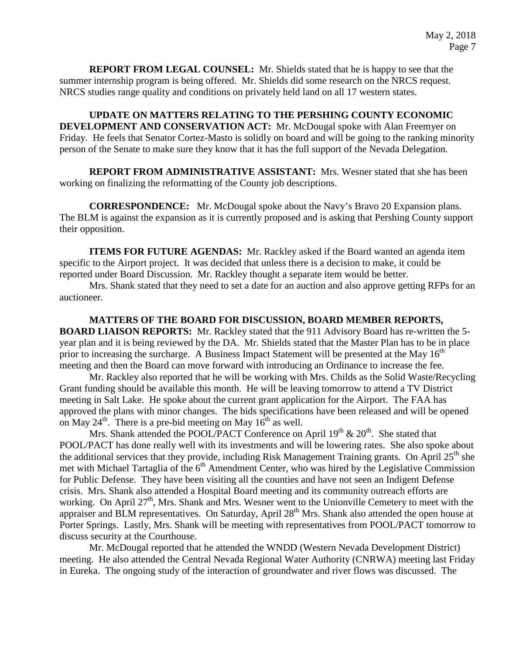**REPORT FROM LEGAL COUNSEL:** Mr. Shields stated that he is happy to see that the summer internship program is being offered. Mr. Shields did some research on the NRCS request. NRCS studies range quality and conditions on privately held land on all 17 western states.

**UPDATE ON MATTERS RELATING TO THE PERSHING COUNTY ECONOMIC DEVELOPMENT AND CONSERVATION ACT:** Mr. McDougal spoke with Alan Freemyer on Friday. He feels that Senator Cortez-Masto is solidly on board and will be going to the ranking minority person of the Senate to make sure they know that it has the full support of the Nevada Delegation.

**REPORT FROM ADMINISTRATIVE ASSISTANT:** Mrs. Wesner stated that she has been working on finalizing the reformatting of the County job descriptions.

**CORRESPONDENCE:** Mr. McDougal spoke about the Navy's Bravo 20 Expansion plans. The BLM is against the expansion as it is currently proposed and is asking that Pershing County support their opposition.

**ITEMS FOR FUTURE AGENDAS:** Mr. Rackley asked if the Board wanted an agenda item specific to the Airport project. It was decided that unless there is a decision to make, it could be reported under Board Discussion. Mr. Rackley thought a separate item would be better.

Mrs. Shank stated that they need to set a date for an auction and also approve getting RFPs for an auctioneer.

**MATTERS OF THE BOARD FOR DISCUSSION, BOARD MEMBER REPORTS, BOARD LIAISON REPORTS:** Mr. Rackley stated that the 911 Advisory Board has re-written the 5 year plan and it is being reviewed by the DA. Mr. Shields stated that the Master Plan has to be in place prior to increasing the surcharge. A Business Impact Statement will be presented at the May  $16<sup>th</sup>$ meeting and then the Board can move forward with introducing an Ordinance to increase the fee.

Mr. Rackley also reported that he will be working with Mrs. Childs as the Solid Waste/Recycling Grant funding should be available this month. He will be leaving tomorrow to attend a TV District meeting in Salt Lake. He spoke about the current grant application for the Airport. The FAA has approved the plans with minor changes. The bids specifications have been released and will be opened on May  $24^{\text{th}}$ . There is a pre-bid meeting on May  $16^{\text{th}}$  as well.

Mrs. Shank attended the POOL/PACT Conference on April  $19<sup>th</sup>$  &  $20<sup>th</sup>$ . She stated that POOL/PACT has done really well with its investments and will be lowering rates. She also spoke about the additional services that they provide, including Risk Management Training grants. On April  $25<sup>th</sup>$  she met with Michael Tartaglia of the  $6<sup>th</sup>$  Amendment Center, who was hired by the Legislative Commission for Public Defense. They have been visiting all the counties and have not seen an Indigent Defense crisis. Mrs. Shank also attended a Hospital Board meeting and its community outreach efforts are working. On April 27<sup>th</sup>, Mrs. Shank and Mrs. Wesner went to the Unionville Cemetery to meet with the appraiser and BLM representatives. On Saturday, April 28<sup>th</sup> Mrs. Shank also attended the open house at Porter Springs. Lastly, Mrs. Shank will be meeting with representatives from POOL/PACT tomorrow to discuss security at the Courthouse.

Mr. McDougal reported that he attended the WNDD (Western Nevada Development District) meeting. He also attended the Central Nevada Regional Water Authority (CNRWA) meeting last Friday in Eureka. The ongoing study of the interaction of groundwater and river flows was discussed. The